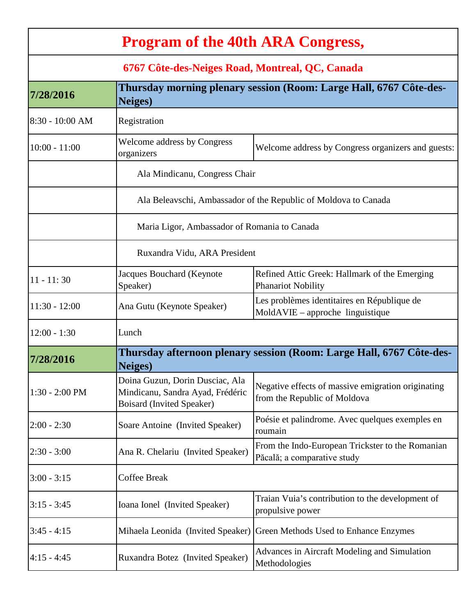| <b>Program of the 40th ARA Congress,</b>        |                                                                                                         |                                                                                    |  |  |  |
|-------------------------------------------------|---------------------------------------------------------------------------------------------------------|------------------------------------------------------------------------------------|--|--|--|
| 6767 Côte-des-Neiges Road, Montreal, QC, Canada |                                                                                                         |                                                                                    |  |  |  |
| 7/28/2016                                       | Thursday morning plenary session (Room: Large Hall, 6767 Côte-des-<br><b>Neiges</b> )                   |                                                                                    |  |  |  |
| 8:30 - 10:00 AM                                 | Registration                                                                                            |                                                                                    |  |  |  |
| $10:00 - 11:00$                                 | <b>Welcome address by Congress</b><br>organizers                                                        | Welcome address by Congress organizers and guests:                                 |  |  |  |
|                                                 | Ala Mindicanu, Congress Chair                                                                           |                                                                                    |  |  |  |
|                                                 | Ala Beleavschi, Ambassador of the Republic of Moldova to Canada                                         |                                                                                    |  |  |  |
|                                                 | Maria Ligor, Ambassador of Romania to Canada                                                            |                                                                                    |  |  |  |
|                                                 | Ruxandra Vidu, ARA President                                                                            |                                                                                    |  |  |  |
| $11 - 11:30$                                    | Jacques Bouchard (Keynote<br>Speaker)                                                                   | Refined Attic Greek: Hallmark of the Emerging<br><b>Phanariot Nobility</b>         |  |  |  |
| $11:30 - 12:00$                                 | Ana Gutu (Keynote Speaker)                                                                              | Les problèmes identitaires en République de<br>MoldAVIE – approche linguistique    |  |  |  |
| $12:00 - 1:30$                                  | Lunch                                                                                                   |                                                                                    |  |  |  |
| 7/28/2016                                       | Thursday afternoon plenary session (Room: Large Hall, 6767 Côte-des-<br><b>Neiges</b> )                 |                                                                                    |  |  |  |
| $1:30 - 2:00$ PM                                | Doina Guzun, Dorin Dusciac, Ala<br>Mindicanu, Sandra Ayad, Frédéric<br><b>Boisard (Invited Speaker)</b> | Negative effects of massive emigration originating<br>from the Republic of Moldova |  |  |  |
| $2:00 - 2:30$                                   | Soare Antoine (Invited Speaker)                                                                         | Poésie et palindrome. Avec quelques exemples en<br>roumain                         |  |  |  |
| $2:30 - 3:00$                                   | Ana R. Chelariu (Invited Speaker)                                                                       | From the Indo-European Trickster to the Romanian<br>Păcală; a comparative study    |  |  |  |
| $3:00 - 3:15$                                   | <b>Coffee Break</b>                                                                                     |                                                                                    |  |  |  |
| $3:15 - 3:45$                                   | Ioana Ionel (Invited Speaker)                                                                           | Traian Vuia's contribution to the development of<br>propulsive power               |  |  |  |
| $3:45 - 4:15$                                   | Mihaela Leonida (Invited Speaker)                                                                       | Green Methods Used to Enhance Enzymes                                              |  |  |  |
| $4:15 - 4:45$                                   | Ruxandra Botez (Invited Speaker)                                                                        | Advances in Aircraft Modeling and Simulation<br>Methodologies                      |  |  |  |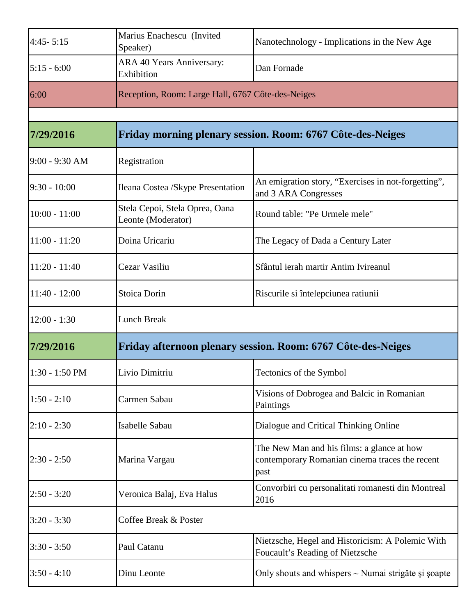| $4:45 - 5:15$    | Marius Enachescu (Invited<br>Speaker)                        | Nanotechnology - Implications in the New Age                                                         |
|------------------|--------------------------------------------------------------|------------------------------------------------------------------------------------------------------|
| $5:15 - 6:00$    | ARA 40 Years Anniversary:<br>Exhibition                      | Dan Fornade                                                                                          |
| 6:00             | Reception, Room: Large Hall, 6767 Côte-des-Neiges            |                                                                                                      |
|                  |                                                              |                                                                                                      |
| 7/29/2016        | Friday morning plenary session. Room: 6767 Côte-des-Neiges   |                                                                                                      |
| $9:00 - 9:30$ AM | Registration                                                 |                                                                                                      |
| $9:30 - 10:00$   | Ileana Costea /Skype Presentation                            | An emigration story, "Exercises in not-forgetting",<br>and 3 ARA Congresses                          |
| $10:00 - 11:00$  | Stela Cepoi, Stela Oprea, Oana<br>Leonte (Moderator)         | Round table: "Pe Urmele mele"                                                                        |
| $11:00 - 11:20$  | Doina Uricariu                                               | The Legacy of Dada a Century Later                                                                   |
| $11:20 - 11:40$  | Cezar Vasiliu                                                | Sfântul ierah martir Antim Ivireanul                                                                 |
| $11:40 - 12:00$  | Stoica Dorin                                                 | Riscurile si întelepciunea ratiunii                                                                  |
| $12:00 - 1:30$   | <b>Lunch Break</b>                                           |                                                                                                      |
| 7/29/2016        | Friday afternoon plenary session. Room: 6767 Côte-des-Neiges |                                                                                                      |
| $1:30 - 1:50$ PM | Livio Dimitriu                                               | Tectonics of the Symbol                                                                              |
| $1:50 - 2:10$    | Carmen Sabau                                                 | Visions of Dobrogea and Balcic in Romanian<br>Paintings                                              |
| $2:10 - 2:30$    | Isabelle Sabau                                               | Dialogue and Critical Thinking Online                                                                |
| $2:30 - 2:50$    | Marina Vargau                                                | The New Man and his films: a glance at how<br>contemporary Romanian cinema traces the recent<br>past |
| $2:50 - 3:20$    | Veronica Balaj, Eva Halus                                    | Convorbiri cu personalitati romanesti din Montreal<br>2016                                           |
| $3:20 - 3:30$    | Coffee Break & Poster                                        |                                                                                                      |
| $3:30 - 3:50$    | Paul Catanu                                                  | Nietzsche, Hegel and Historicism: A Polemic With<br>Foucault's Reading of Nietzsche                  |
| $3:50 - 4:10$    | Dinu Leonte                                                  | Only shouts and whispers $\sim$ Numai strigăte și șoapte                                             |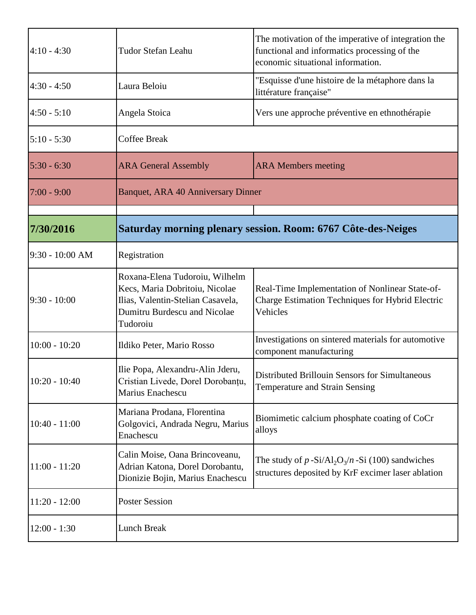| $4:10 - 4:30$     | <b>Tudor Stefan Leahu</b>                                                                                                                         | The motivation of the imperative of integration the<br>functional and informatics processing of the<br>economic situational information. |
|-------------------|---------------------------------------------------------------------------------------------------------------------------------------------------|------------------------------------------------------------------------------------------------------------------------------------------|
| $4:30 - 4:50$     | Laura Beloiu                                                                                                                                      | "Esquisse d'une histoire de la métaphore dans la<br>littérature française"                                                               |
| $4:50 - 5:10$     | Angela Stoica                                                                                                                                     | Vers une approche préventive en ethnothérapie                                                                                            |
| $5:10 - 5:30$     | <b>Coffee Break</b>                                                                                                                               |                                                                                                                                          |
| $5:30 - 6:30$     | <b>ARA General Assembly</b>                                                                                                                       | <b>ARA Members meeting</b>                                                                                                               |
| $7:00 - 9:00$     | <b>Banquet, ARA 40 Anniversary Dinner</b>                                                                                                         |                                                                                                                                          |
|                   |                                                                                                                                                   |                                                                                                                                          |
| 7/30/2016         | Saturday morning plenary session. Room: 6767 Côte-des-Neiges                                                                                      |                                                                                                                                          |
| $9:30 - 10:00$ AM | Registration                                                                                                                                      |                                                                                                                                          |
| $9:30 - 10:00$    | Roxana-Elena Tudoroiu, Wilhelm<br>Kecs, Maria Dobritoiu, Nicolae<br>Ilias, Valentin-Stelian Casavela,<br>Dumitru Burdescu and Nicolae<br>Tudoroiu | Real-Time Implementation of Nonlinear State-of-<br><b>Charge Estimation Techniques for Hybrid Electric</b><br>Vehicles                   |
| $10:00 - 10:20$   | Ildiko Peter, Mario Rosso                                                                                                                         | Investigations on sintered materials for automotive<br>component manufacturing                                                           |
| $10:20 - 10:40$   | Ilie Popa, Alexandru-Alin Jderu,<br>Cristian Livede, Dorel Dorobanțu,<br>Marius Enachescu                                                         | <b>Distributed Brillouin Sensors for Simultaneous</b><br>Temperature and Strain Sensing                                                  |
| $10:40 - 11:00$   | Mariana Prodana, Florentina<br>Golgovici, Andrada Negru, Marius<br>Enachescu                                                                      | Biomimetic calcium phosphate coating of CoCr<br>alloys                                                                                   |
| $11:00 - 11:20$   | Calin Moise, Oana Brincoveanu,<br>Adrian Katona, Dorel Dorobantu,<br>Dionizie Bojin, Marius Enachescu                                             | The study of $p-Si\angle A1_2O_3/n-Si$ (100) sandwiches<br>structures deposited by KrF excimer laser ablation                            |
| $11:20 - 12:00$   | <b>Poster Session</b>                                                                                                                             |                                                                                                                                          |
| $12:00 - 1:30$    | Lunch Break                                                                                                                                       |                                                                                                                                          |